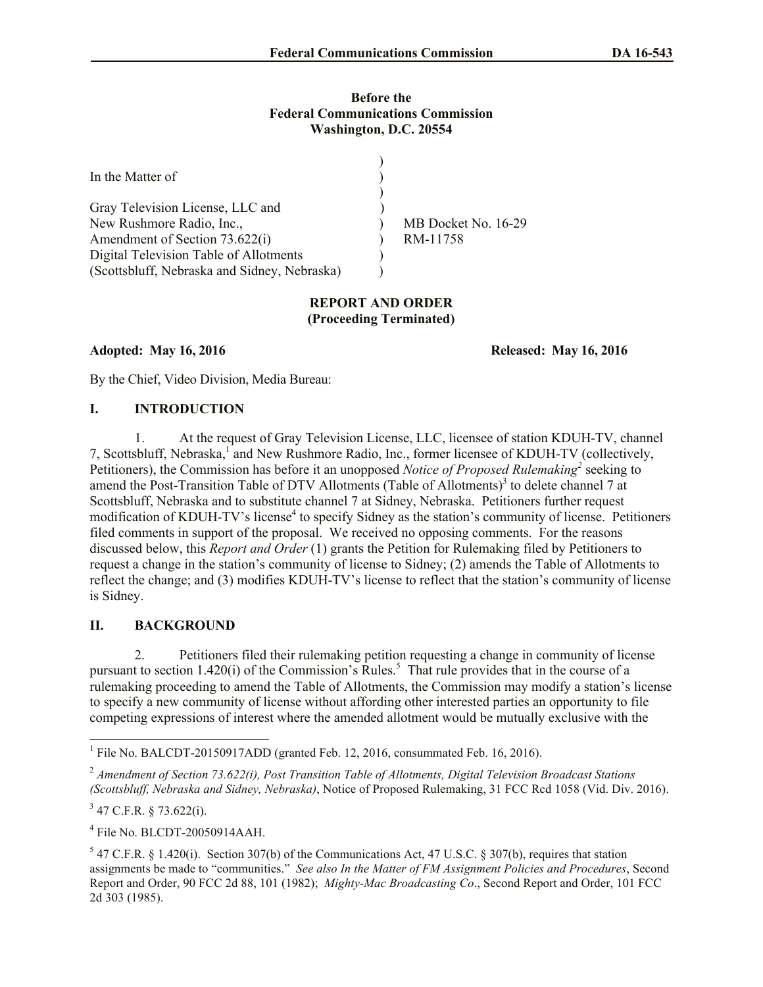#### **Before the Federal Communications Commission Washington, D.C. 20554**

| In the Matter of                             |                     |
|----------------------------------------------|---------------------|
|                                              |                     |
| Gray Television License, LLC and             |                     |
| New Rushmore Radio, Inc.,                    | MB Docket No. 16-29 |
| Amendment of Section 73.622(i)               | RM-11758            |
| Digital Television Table of Allotments       |                     |
| (Scottsbluff, Nebraska and Sidney, Nebraska) |                     |

## **REPORT AND ORDER (Proceeding Terminated)**

**Adopted: May 16, 2016 Released: May 16, 2016**

By the Chief, Video Division, Media Bureau:

# **I. INTRODUCTION**

1. At the request of Gray Television License, LLC, licensee of station KDUH-TV, channel 7, Scottsbluff, Nebraska,<sup>1</sup> and New Rushmore Radio, Inc., former licensee of KDUH-TV (collectively, Petitioners), the Commission has before it an unopposed *Notice of Proposed Rulemaking*<sup>2</sup> seeking to amend the Post-Transition Table of DTV Allotments (Table of Allotments)<sup>3</sup> to delete channel 7 at Scottsbluff, Nebraska and to substitute channel 7 at Sidney, Nebraska. Petitioners further request modification of KDUH-TV's license<sup>4</sup> to specify Sidney as the station's community of license. Petitioners filed comments in support of the proposal. We received no opposing comments. For the reasons discussed below, this *Report and Order* (1) grants the Petition for Rulemaking filed by Petitioners to request a change in the station's community of license to Sidney; (2) amends the Table of Allotments to reflect the change; and (3) modifies KDUH-TV's license to reflect that the station's community of license is Sidney.

### **II. BACKGROUND**

2. Petitioners filed their rulemaking petition requesting a change in community of license pursuant to section 1.420(i) of the Commission's Rules.<sup>5</sup> That rule provides that in the course of a rulemaking proceeding to amend the Table of Allotments, the Commission may modify a station's license to specify a new community of license without affording other interested parties an opportunity to file competing expressions of interest where the amended allotment would be mutually exclusive with the

 $3$  47 C.F.R. § 73.622(i).

 $\overline{\phantom{a}}$ 

4 File No. BLCDT-20050914AAH.

<sup>&</sup>lt;sup>1</sup> File No. BALCDT-20150917ADD (granted Feb. 12, 2016, consummated Feb. 16, 2016).

<sup>2</sup> *Amendment of Section 73.622(i), Post Transition Table of Allotments, Digital Television Broadcast Stations (Scottsbluff, Nebraska and Sidney, Nebraska)*, Notice of Proposed Rulemaking, 31 FCC Rcd 1058 (Vid. Div. 2016).

 $5$  47 C.F.R. § 1.420(i). Section 307(b) of the Communications Act, 47 U.S.C. § 307(b), requires that station assignments be made to "communities." *See also In the Matter of FM Assignment Policies and Procedures*, Second Report and Order, 90 FCC 2d 88, 101 (1982); *Mighty-Mac Broadcasting Co*., Second Report and Order, 101 FCC 2d 303 (1985).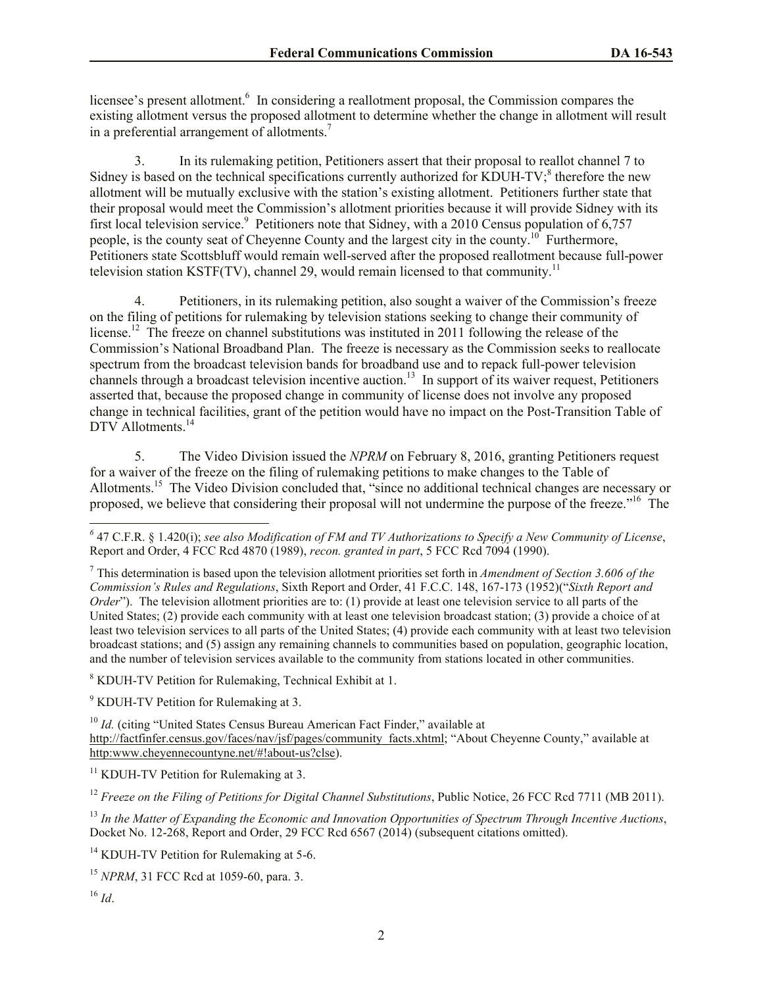licensee's present allotment.<sup>6</sup> In considering a reallotment proposal, the Commission compares the existing allotment versus the proposed allotment to determine whether the change in allotment will result in a preferential arrangement of allotments.<sup>7</sup>

3. In its rulemaking petition, Petitioners assert that their proposal to reallot channel 7 to Sidney is based on the technical specifications currently authorized for KDUH-TV;<sup>8</sup> therefore the new allotment will be mutually exclusive with the station's existing allotment.Petitioners further state that their proposal would meet the Commission's allotment priorities because it will provide Sidney with its first local television service.<sup>9</sup> Petitioners note that Sidney, with a 2010 Census population of 6,757 people, is the county seat of Cheyenne County and the largest city in the county.<sup>10</sup> Furthermore, Petitioners state Scottsbluff would remain well-served after the proposed reallotment because full-power television station KSTF(TV), channel 29, would remain licensed to that community.<sup>11</sup>

4. Petitioners, in its rulemaking petition, also sought a waiver of the Commission's freeze on the filing of petitions for rulemaking by television stations seeking to change their community of license.<sup>12</sup> The freeze on channel substitutions was instituted in 2011 following the release of the Commission's National Broadband Plan. The freeze is necessary as the Commission seeks to reallocate spectrum from the broadcast television bands for broadband use and to repack full-power television channels through a broadcast television incentive auction.<sup>13</sup> In support of its waiver request, Petitioners asserted that, because the proposed change in community of license does not involve any proposed change in technical facilities, grant of the petition would have no impact on the Post-Transition Table of DTV Allotments.<sup>14</sup>

5. The Video Division issued the *NPRM* on February 8, 2016, granting Petitioners request for a waiver of the freeze on the filing of rulemaking petitions to make changes to the Table of Allotments.<sup>15</sup> The Video Division concluded that, "since no additional technical changes are necessary or proposed, we believe that considering their proposal will not undermine the purpose of the freeze."<sup>16</sup> The

<sup>7</sup> This determination is based upon the television allotment priorities set forth in *Amendment of Section 3.606 of the Commission's Rules and Regulations*, Sixth Report and Order, 41 F.C.C. 148, 167-173 (1952)("*Sixth Report and Order*"). The television allotment priorities are to: (1) provide at least one television service to all parts of the United States; (2) provide each community with at least one television broadcast station; (3) provide a choice of at least two television services to all parts of the United States; (4) provide each community with at least two television broadcast stations; and (5) assign any remaining channels to communities based on population, geographic location, and the number of television services available to the community from stations located in other communities.

<sup>8</sup> KDUH-TV Petition for Rulemaking, Technical Exhibit at 1.

<sup>9</sup> KDUH-TV Petition for Rulemaking at 3.

<sup>10</sup> *Id.* (citing "United States Census Bureau American Fact Finder," available at http://factfinfer.census.gov/faces/nav/jsf/pages/community\_facts.xhtml; "About Cheyenne County," available at http:www.cheyennecountyne.net/#!about-us?clse).

<sup>11</sup> KDUH-TV Petition for Rulemaking at 3.

<sup>12</sup> *Freeze on the Filing of Petitions for Digital Channel Substitutions*, Public Notice, 26 FCC Rcd 7711 (MB 2011).

<sup>13</sup> *In the Matter of Expanding the Economic and Innovation Opportunities of Spectrum Through Incentive Auctions*, Docket No. 12-268, Report and Order, 29 FCC Rcd 6567 (2014) (subsequent citations omitted).

<sup>14</sup> KDUH-TV Petition for Rulemaking at 5-6.

<sup>15</sup> *NPRM*, 31 FCC Rcd at 1059-60, para. 3.

 $\overline{\phantom{a}}$ 

*<sup>6</sup>* 47 C.F.R. § 1.420(i); *see also Modification of FM and TV Authorizations to Specify a New Community of License*, Report and Order, 4 FCC Rcd 4870 (1989), *recon. granted in part*, 5 FCC Rcd 7094 (1990).

 $16$  *Id*.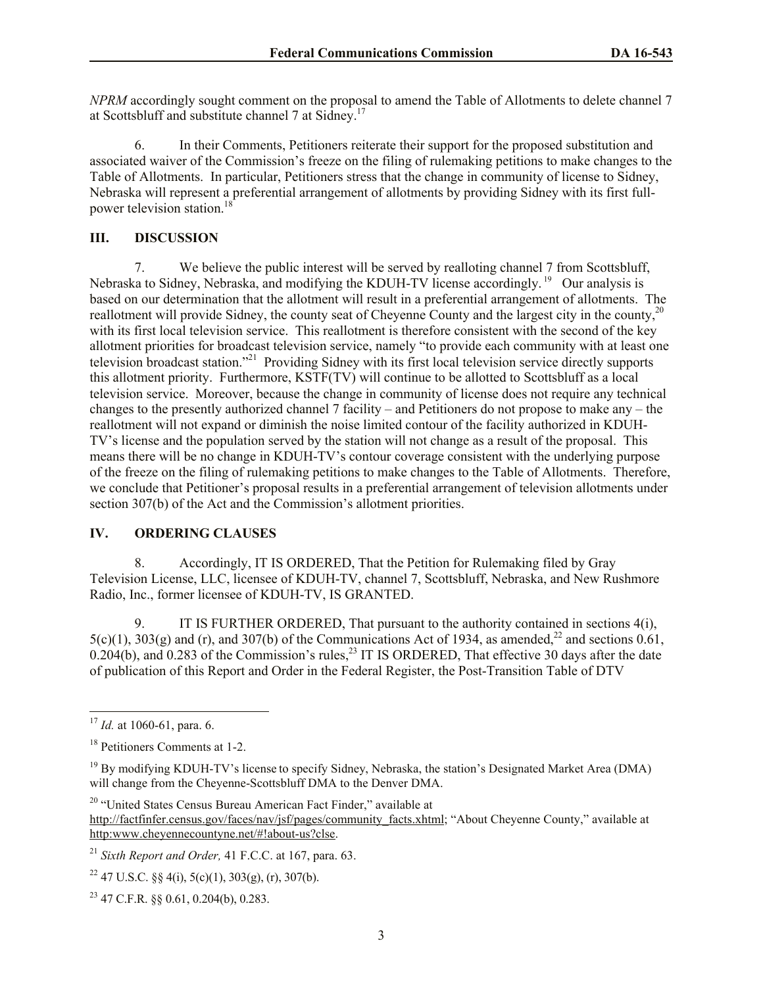*NPRM* accordingly sought comment on the proposal to amend the Table of Allotments to delete channel 7 at Scottsbluff and substitute channel 7 at Sidney.<sup>17</sup>

6. In their Comments, Petitioners reiterate their support for the proposed substitution and associated waiver of the Commission's freeze on the filing of rulemaking petitions to make changes to the Table of Allotments. In particular, Petitioners stress that the change in community of license to Sidney, Nebraska will represent a preferential arrangement of allotments by providing Sidney with its first fullpower television station.<sup>18</sup>

#### **III. DISCUSSION**

7. We believe the public interest will be served by realloting channel 7 from Scottsbluff, Nebraska to Sidney, Nebraska, and modifying the KDUH-TV license accordingly.<sup>19</sup> Our analysis is based on our determination that the allotment will result in a preferential arrangement of allotments. The reallotment will provide Sidney, the county seat of Cheyenne County and the largest city in the county,<sup>20</sup> with its first local television service. This reallotment is therefore consistent with the second of the key allotment priorities for broadcast television service, namely "to provide each community with at least one television broadcast station."<sup>21</sup> Providing Sidney with its first local television service directly supports this allotment priority. Furthermore, KSTF(TV) will continue to be allotted to Scottsbluff as a local television service. Moreover, because the change in community of license does not require any technical changes to the presently authorized channel 7 facility – and Petitioners do not propose to make any – the reallotment will not expand or diminish the noise limited contour of the facility authorized in KDUH-TV's license and the population served by the station will not change as a result of the proposal. This means there will be no change in KDUH-TV's contour coverage consistent with the underlying purpose of the freeze on the filing of rulemaking petitions to make changes to the Table of Allotments. Therefore, we conclude that Petitioner's proposal results in a preferential arrangement of television allotments under section 307(b) of the Act and the Commission's allotment priorities.

# **IV. ORDERING CLAUSES**

8. Accordingly, IT IS ORDERED, That the Petition for Rulemaking filed by Gray Television License, LLC, licensee of KDUH-TV, channel 7, Scottsbluff, Nebraska, and New Rushmore Radio, Inc., former licensee of KDUH-TV, IS GRANTED.

9. IT IS FURTHER ORDERED, That pursuant to the authority contained in sections 4(i),  $5(c)(1)$ ,  $303(g)$  and (r), and  $307(b)$  of the Communications Act of 1934, as amended,<sup>22</sup> and sections 0.61,  $0.204(b)$ , and  $0.283$  of the Commission's rules,<sup>23</sup> IT IS ORDERED, That effective 30 days after the date of publication of this Report and Order in the Federal Register, the Post-Transition Table of DTV

 $\overline{\phantom{a}}$ 

<sup>&</sup>lt;sup>17</sup> *Id.* at 1060-61, para. 6.

<sup>18</sup> Petitioners Comments at 1-2.

<sup>&</sup>lt;sup>19</sup> By modifying KDUH-TV's license to specify Sidney, Nebraska, the station's Designated Market Area (DMA) will change from the Cheyenne-Scottsbluff DMA to the Denver DMA.

<sup>&</sup>lt;sup>20</sup> "United States Census Bureau American Fact Finder," available at http://factfinfer.census.gov/faces/nav/jsf/pages/community\_facts.xhtml; "About Cheyenne County," available at http:www.cheyennecountyne.net/#!about-us?clse.

<sup>21</sup> *Sixth Report and Order,* 41 F.C.C. at 167, para. 63.

<sup>&</sup>lt;sup>22</sup> 47 U.S.C. §§ 4(i), 5(c)(1), 303(g), (r), 307(b).

<sup>23</sup> 47 C.F.R. §§ 0.61, 0.204(b), 0.283.